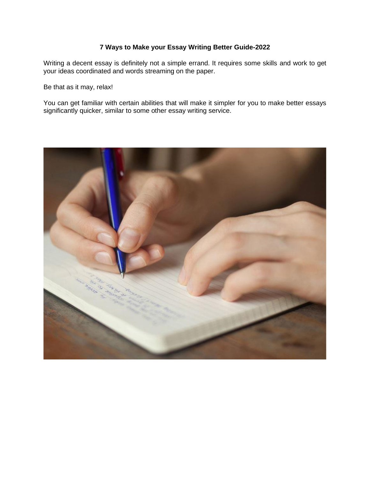# **7 Ways to Make your Essay Writing Better Guide-2022**

Writing a decent essay is definitely not a simple errand. It requires some skills and work to get your ideas coordinated and words streaming on the paper.

Be that as it may, relax!

You can get familiar with certain abilities that will make it simpler for you to make better essays significantly quicker, similar to some other essay writing service.

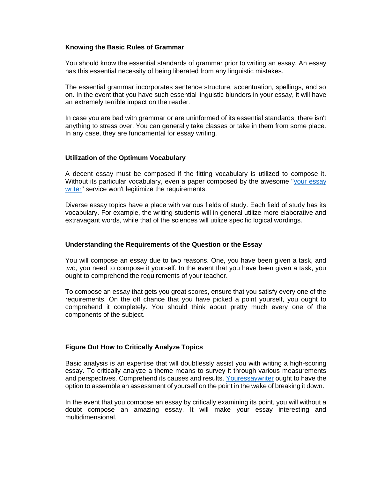### **Knowing the Basic Rules of Grammar**

You should know the essential standards of grammar prior to writing an essay. An essay has this essential necessity of being liberated from any linguistic mistakes.

The essential grammar incorporates sentence structure, accentuation, spellings, and so on. In the event that you have such essential linguistic blunders in your essay, it will have an extremely terrible impact on the reader.

In case you are bad with grammar or are uninformed of its essential standards, there isn't anything to stress over. You can generally take classes or take in them from some place. In any case, they are fundamental for essay writing.

# **Utilization of the Optimum Vocabulary**

A decent essay must be composed if the fitting vocabulary is utilized to compose it. Without its particular vocabulary, even a paper composed by the awesome ["your essay](https://youressaywriter.net/essay-writing-service)  [writer"](https://youressaywriter.net/essay-writing-service) service won't legitimize the requirements.

Diverse essay topics have a place with various fields of study. Each field of study has its vocabulary. For example, the writing students will in general utilize more elaborative and extravagant words, while that of the sciences will utilize specific logical wordings.

### **Understanding the Requirements of the Question or the Essay**

You will compose an essay due to two reasons. One, you have been given a task, and two, you need to compose it yourself. In the event that you have been given a task, you ought to comprehend the requirements of your teacher.

To compose an essay that gets you great scores, ensure that you satisfy every one of the requirements. On the off chance that you have picked a point yourself, you ought to comprehend it completely. You should think about pretty much every one of the components of the subject.

# **Figure Out How to Critically Analyze Topics**

Basic analysis is an expertise that will doubtlessly assist you with writing a high-scoring essay. To critically analyze a theme means to survey it through various measurements and perspectives. Comprehend its causes and results. [Youressaywriter](https://youressaywriter.net/essay-writing-service) ought to have the option to assemble an assessment of yourself on the point in the wake of breaking it down.

In the event that you compose an essay by critically examining its point, you will without a doubt compose an amazing essay. It will make your essay interesting and multidimensional.